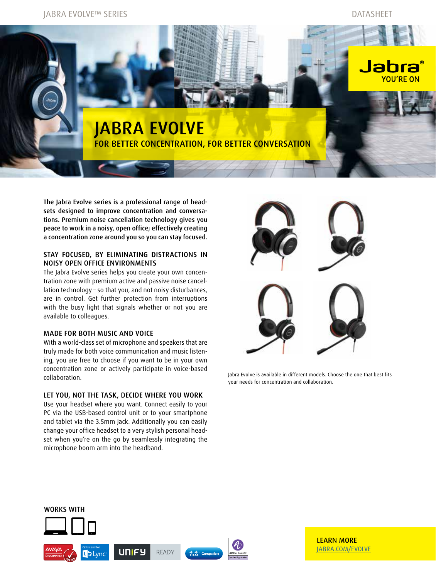JABRA EVOLVE™ SERIES DATASHEET

# Jabı YOU'RE ON JABRA EVOLVE FOR BETTER CONCENTRATION, FOR BETTER CONVERSATION

The Jabra Evolve series is a professional range of headsets designed to improve concentration and conversations. Premium noise cancellation technology gives you peace to work in a noisy, open office; effectively creating a concentration zone around you so you can stay focused.

# STAY FOCUSED, BY ELIMINATING DISTRACTIONS IN NOISY OPEN OFFICE ENVIRONMENTS

The Jabra Evolve series helps you create your own concentration zone with premium active and passive noise cancellation technology – so that you, and not noisy disturbances, are in control. Get further protection from interruptions with the busy light that signals whether or not you are available to colleagues.

### MADE FOR BOTH MUSIC AND VOICE

With a world-class set of microphone and speakers that are truly made for both voice communication and music listening, you are free to choose if you want to be in your own concentration zone or actively participate in voice-based collaboration.

# LET YOU, NOT THE TASK, DECIDE WHERE YOU WORK

Use your headset where you want. Connect easily to your PC via the USB-based control unit or to your smartphone and tablet via the 3.5mm jack. Additionally you can easily change your office headset to a very stylish personal headset when you're on the go by seamlessly integrating the microphone boom arm into the headband.



Jabra Evolve is available in different models. Choose the one that best fits your needs for concentration and collaboration.



LEARN MORE JABRA.COM/EVOLVE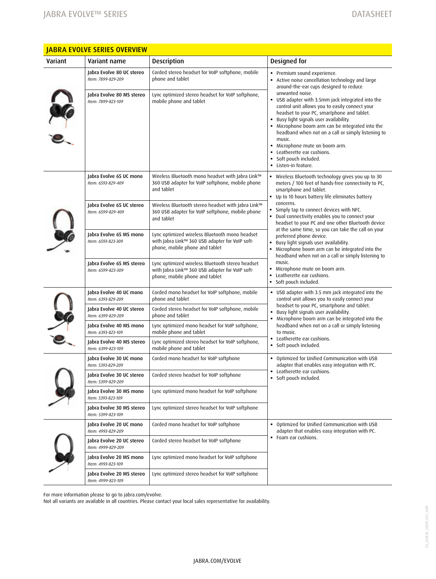| <u>JABKA EVULVE SERIES OVERVIEW</u> |                                                 |                                                                                                                                       |                                                                                                                                                                                                                                                                                                                                                                                                                                                                                                                                                                                                                                                                                                 |
|-------------------------------------|-------------------------------------------------|---------------------------------------------------------------------------------------------------------------------------------------|-------------------------------------------------------------------------------------------------------------------------------------------------------------------------------------------------------------------------------------------------------------------------------------------------------------------------------------------------------------------------------------------------------------------------------------------------------------------------------------------------------------------------------------------------------------------------------------------------------------------------------------------------------------------------------------------------|
| Variant                             | Variant name                                    | <b>Description</b>                                                                                                                    | Designed for                                                                                                                                                                                                                                                                                                                                                                                                                                                                                                                                                                                                                                                                                    |
|                                     | Jabra Evolve 80 UC stereo<br>Item: 7899-829-209 | Corded stereo headset for VoIP softphone, mobile<br>phone and tablet                                                                  | · Premium sound experience.<br>• Active noise cancellation technology and large<br>around-the-ear cups designed to reduce<br>unwanted noise.<br>• USB adapter with 3.5mm jack integrated into the<br>control unit allows you to easily connect your<br>headset to your PC, smartphone and tablet.<br>Busy light signals user availability.<br>• Microphone boom arm can be integrated into the<br>headband when not on a call or simply listening to<br>music.<br>· Microphone mute on boom arm.<br>• Leatherette ear cushions.<br>Soft pouch included.<br>• Listen-in feature.                                                                                                                 |
|                                     | Jabra Evolve 80 MS stereo<br>Item: 7899-823-109 | Lync optimized stereo headset for VoIP softphone,<br>mobile phone and tablet                                                          |                                                                                                                                                                                                                                                                                                                                                                                                                                                                                                                                                                                                                                                                                                 |
|                                     | Jabra Evolve 65 UC mono<br>Item: 6593-829-409   | Wireless Bluetooth mono headset with Jabra Link™<br>360 USB adapter for VoIP softphone, mobile phone<br>and tablet                    | • Wireless Bluetooth technology gives you up to 30<br>meters / 100 feet of hands-free connectivity to PC,<br>smartphone and tablet.<br>• Up to 10 hours battery life eliminates battery<br>concerns.<br>• Simply tap to connect devices with NFC.<br>. Dual connectivity enables you to connect your<br>headset to your PC and one other Bluetooth device<br>at the same time, so you can take the call on your<br>preferred phone device.<br>Busy light signals user availability.<br>Microphone boom arm can be integrated into the<br>headband when not on a call or simply listening to<br>music.<br>Microphone mute on boom arm.<br>٠<br>Leatherette ear cushions.<br>Soft pouch included. |
|                                     | Jabra Evolve 65 UC stereo<br>Item: 6599-829-409 | Wireless Bluetooth stereo headset with Jabra Link™<br>360 USB adapter for VoIP softphone, mobile phone<br>and tablet                  |                                                                                                                                                                                                                                                                                                                                                                                                                                                                                                                                                                                                                                                                                                 |
|                                     | Jabra Evolve 65 MS mono<br>Item: 6593-823-309   | Lync optimized wireless Bluetooth mono headset<br>with Jabra Link™ 360 USB adapter for VoIP soft-<br>phone, mobile phone and tablet   |                                                                                                                                                                                                                                                                                                                                                                                                                                                                                                                                                                                                                                                                                                 |
|                                     | Jabra Evolve 65 MS stereo<br>Item: 6599-823-309 | Lync optimized wireless Bluetooth stereo headset<br>with Jabra Link™ 360 USB adapter for VoIP soft-<br>phone, mobile phone and tablet |                                                                                                                                                                                                                                                                                                                                                                                                                                                                                                                                                                                                                                                                                                 |
|                                     | Jabra Evolve 40 UC mono<br>Item: 6393-829-209   | Corded mono headset for VoIP softphone, mobile<br>phone and tablet                                                                    | USB adapter with 3.5 mm jack integrated into the<br>control unit allows you to easily connect your<br>headset to your PC, smartphone and tablet.<br>. Busy light signals user availability.<br>• Microphone boom arm can be integrated into the<br>headband when not on a call or simply listening<br>to music.<br>• Leatherette ear cushions.<br>· Soft pouch included.                                                                                                                                                                                                                                                                                                                        |
|                                     | Jabra Evolve 40 UC stereo<br>Item: 6399-829-209 | Corded stereo headset for VoIP softphone, mobile<br>phone and tablet                                                                  |                                                                                                                                                                                                                                                                                                                                                                                                                                                                                                                                                                                                                                                                                                 |
|                                     | Jabra Evolve 40 MS mono<br>Item: 6393-823-109   | Lync optimized mono headset for VoIP softphone,<br>mobile phone and tablet                                                            |                                                                                                                                                                                                                                                                                                                                                                                                                                                                                                                                                                                                                                                                                                 |
|                                     | Jabra Evolve 40 MS stereo<br>Item: 6399-823-109 | Lync optimized stereo headset for VoIP softphone,<br>mobile phone and tablet                                                          |                                                                                                                                                                                                                                                                                                                                                                                                                                                                                                                                                                                                                                                                                                 |
|                                     | Jabra Evolve 30 UC mono<br>Item: 5393-829-209   | Corded mono headset for VoIP softphone                                                                                                | . Optimized for Unified Communication with USB<br>adapter that enables easy integration with PC.<br>• Leatherette ear cushions.<br>· Soft pouch included.                                                                                                                                                                                                                                                                                                                                                                                                                                                                                                                                       |
|                                     | Jabra Evolve 30 UC stereo<br>Item: 5399-829-209 | Corded stereo headset for VoIP softphone                                                                                              |                                                                                                                                                                                                                                                                                                                                                                                                                                                                                                                                                                                                                                                                                                 |
|                                     | Jabra Evolve 30 MS mono<br>Item: 5393-823-109   | Lync optimized mono headset for VoIP softphone                                                                                        |                                                                                                                                                                                                                                                                                                                                                                                                                                                                                                                                                                                                                                                                                                 |
|                                     | Jabra Evolve 30 MS stereo<br>Item: 5399-823-109 | Lync optimized stereo headset for VoIP softphone                                                                                      |                                                                                                                                                                                                                                                                                                                                                                                                                                                                                                                                                                                                                                                                                                 |
|                                     | Jabra Evolve 20 UC mono<br>Item: 4993-829-209   | Corded mono headset for VoIP softphone                                                                                                | . Optimized for Unified Communication with USB<br>adapter that enables easy integration with PC.<br>• Foam ear cushions.                                                                                                                                                                                                                                                                                                                                                                                                                                                                                                                                                                        |
|                                     | Jabra Evolve 20 UC stereo<br>Item: 4999-829-209 | Corded stereo headset for VoIP softphone                                                                                              |                                                                                                                                                                                                                                                                                                                                                                                                                                                                                                                                                                                                                                                                                                 |
|                                     | Jabra Evolve 20 MS mono<br>Item: 4993-823-109   | Lync optimized mono headset for VoIP softphone                                                                                        |                                                                                                                                                                                                                                                                                                                                                                                                                                                                                                                                                                                                                                                                                                 |
|                                     | Jabra Evolve 20 MS stereo<br>Item: 4999-823-109 | Lync optimized stereo headset for VoIP softphone                                                                                      |                                                                                                                                                                                                                                                                                                                                                                                                                                                                                                                                                                                                                                                                                                 |

JABRA EVOLVE SERIES OVERVIEW

For more information please to go to jabra.com/evolve.

Not all variants are available in all countries. Please contact your local sales representative for availability.